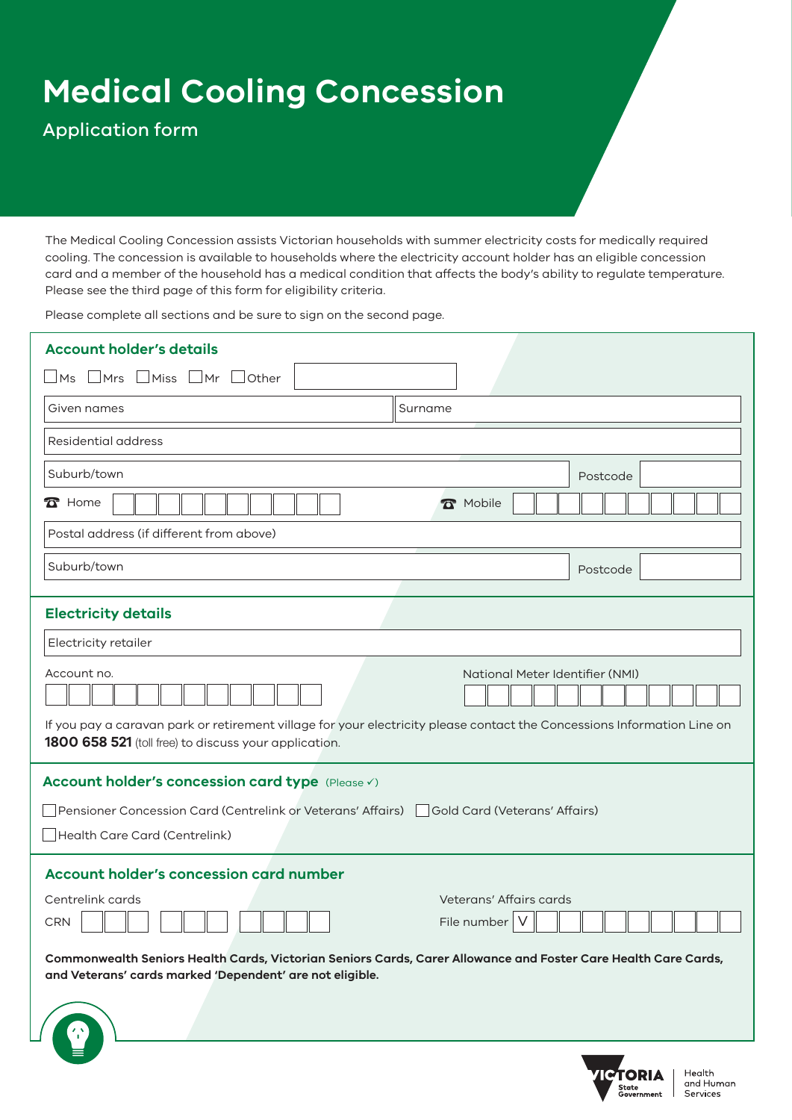# **Medical Cooling Concession**

## Application form

The Medical Cooling Concession assists Victorian households with summer electricity costs for medically required cooling. The concession is available to households where the electricity account holder has an eligible concession card and a member of the household has a medical condition that affects the body's ability to regulate temperature. Please see the third page of this form for eligibility criteria.

Please complete all sections and be sure to sign on the second page.

| <b>Account holder's details</b>                                                                                                                                                  |                                 |  |  |
|----------------------------------------------------------------------------------------------------------------------------------------------------------------------------------|---------------------------------|--|--|
| $\Box$ Ms $\Box$ Mrs $\Box$ Miss $\Box$ Mr<br>$\Box$ Other                                                                                                                       |                                 |  |  |
| Given names                                                                                                                                                                      | Surname                         |  |  |
| <b>Residential address</b>                                                                                                                                                       |                                 |  |  |
| Suburb/town                                                                                                                                                                      | Postcode                        |  |  |
| $\mathbf{\Omega}$ Home                                                                                                                                                           | <b>R</b> Mobile                 |  |  |
| Postal address (if different from above)                                                                                                                                         |                                 |  |  |
| Suburb/town                                                                                                                                                                      | Postcode                        |  |  |
| <b>Electricity details</b>                                                                                                                                                       |                                 |  |  |
| Electricity retailer                                                                                                                                                             |                                 |  |  |
| Account no.                                                                                                                                                                      | National Meter Identifier (NMI) |  |  |
| If you pay a caravan park or retirement village for your electricity please contact the Concessions Information Line on<br>1800 658 521 (toll free) to discuss your application. |                                 |  |  |
| Account holder's concession card type (Please V)                                                                                                                                 |                                 |  |  |
| Pensioner Concession Card (Centrelink or Veterans' Affairs)   Gold Card (Veterans' Affairs)                                                                                      |                                 |  |  |
| Health Care Card (Centrelink)                                                                                                                                                    |                                 |  |  |
| <b>Account holder's concession card number</b>                                                                                                                                   |                                 |  |  |
| Centrelink cards                                                                                                                                                                 | Veterans' Affairs cards         |  |  |
| CRN                                                                                                                                                                              | File number   V                 |  |  |
| Commonwealth Seniors Health Cards, Victorian Seniors Cards, Carer Allowance and Foster Care Health Care Cards,<br>and Veterans' cards marked 'Dependent' are not eligible.       |                                 |  |  |
| <u> 1989 - Johann Stein, mars an dùthchan an t-</u>                                                                                                                              |                                 |  |  |
|                                                                                                                                                                                  |                                 |  |  |

Health and Human Services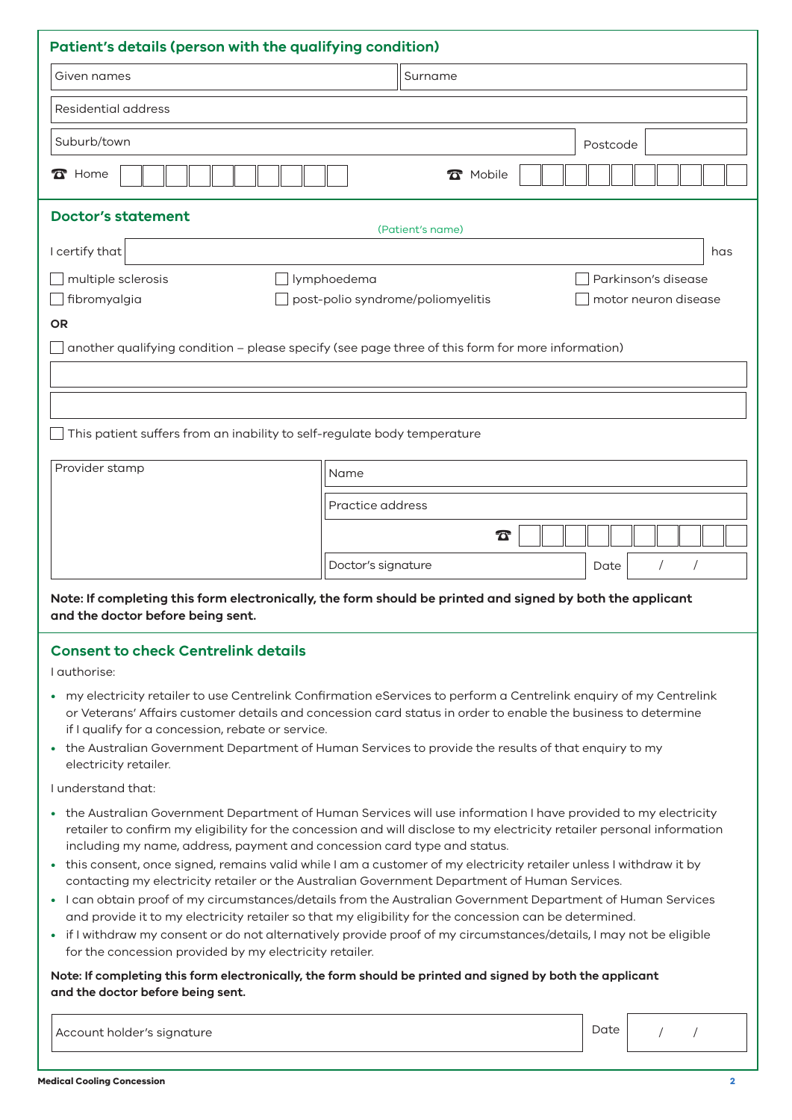| Patient's details (person with the qualifying condition)                                                                                                                                                                                                                                                                                                                                                                                                                                                                                                                                                                                                                                                                                                                                                                                                                                                                                                   |                    |                                      |  |
|------------------------------------------------------------------------------------------------------------------------------------------------------------------------------------------------------------------------------------------------------------------------------------------------------------------------------------------------------------------------------------------------------------------------------------------------------------------------------------------------------------------------------------------------------------------------------------------------------------------------------------------------------------------------------------------------------------------------------------------------------------------------------------------------------------------------------------------------------------------------------------------------------------------------------------------------------------|--------------------|--------------------------------------|--|
| Given names                                                                                                                                                                                                                                                                                                                                                                                                                                                                                                                                                                                                                                                                                                                                                                                                                                                                                                                                                | Surname            |                                      |  |
| Residential address                                                                                                                                                                                                                                                                                                                                                                                                                                                                                                                                                                                                                                                                                                                                                                                                                                                                                                                                        |                    |                                      |  |
| Suburb/town                                                                                                                                                                                                                                                                                                                                                                                                                                                                                                                                                                                                                                                                                                                                                                                                                                                                                                                                                |                    | Postcode                             |  |
| $\sum$ Home                                                                                                                                                                                                                                                                                                                                                                                                                                                                                                                                                                                                                                                                                                                                                                                                                                                                                                                                                | <b>R</b> Mobile    |                                      |  |
| <b>Doctor's statement</b><br>(Patient's name)                                                                                                                                                                                                                                                                                                                                                                                                                                                                                                                                                                                                                                                                                                                                                                                                                                                                                                              |                    |                                      |  |
| I certify that                                                                                                                                                                                                                                                                                                                                                                                                                                                                                                                                                                                                                                                                                                                                                                                                                                                                                                                                             |                    | has                                  |  |
| multiple sclerosis<br>lymphoedema<br>Parkinson's disease<br>fibromyalgia<br>post-polio syndrome/poliomyelitis<br>motor neuron disease<br><b>OR</b>                                                                                                                                                                                                                                                                                                                                                                                                                                                                                                                                                                                                                                                                                                                                                                                                         |                    |                                      |  |
| another qualifying condition - please specify (see page three of this form for more information)                                                                                                                                                                                                                                                                                                                                                                                                                                                                                                                                                                                                                                                                                                                                                                                                                                                           |                    |                                      |  |
| This patient suffers from an inability to self-regulate body temperature                                                                                                                                                                                                                                                                                                                                                                                                                                                                                                                                                                                                                                                                                                                                                                                                                                                                                   |                    |                                      |  |
| Provider stamp                                                                                                                                                                                                                                                                                                                                                                                                                                                                                                                                                                                                                                                                                                                                                                                                                                                                                                                                             | Name               |                                      |  |
| Practice address                                                                                                                                                                                                                                                                                                                                                                                                                                                                                                                                                                                                                                                                                                                                                                                                                                                                                                                                           |                    |                                      |  |
|                                                                                                                                                                                                                                                                                                                                                                                                                                                                                                                                                                                                                                                                                                                                                                                                                                                                                                                                                            | $\boldsymbol{\pi}$ |                                      |  |
|                                                                                                                                                                                                                                                                                                                                                                                                                                                                                                                                                                                                                                                                                                                                                                                                                                                                                                                                                            | Doctor's signature | $\sqrt{2}$<br>$\overline{1}$<br>Date |  |
| Note: If completing this form electronically, the form should be printed and signed by both the applicant<br>and the doctor before being sent.                                                                                                                                                                                                                                                                                                                                                                                                                                                                                                                                                                                                                                                                                                                                                                                                             |                    |                                      |  |
| <b>Consent to check Centrelink details</b><br>I authorise:                                                                                                                                                                                                                                                                                                                                                                                                                                                                                                                                                                                                                                                                                                                                                                                                                                                                                                 |                    |                                      |  |
| • my electricity retailer to use Centrelink Confirmation eServices to perform a Centrelink enquiry of my Centrelink<br>or Veterans' Affairs customer details and concession card status in order to enable the business to determine<br>if I qualify for a concession, rebate or service.<br>• the Australian Government Department of Human Services to provide the results of that enquiry to my<br>electricity retailer.                                                                                                                                                                                                                                                                                                                                                                                                                                                                                                                                |                    |                                      |  |
| I understand that:                                                                                                                                                                                                                                                                                                                                                                                                                                                                                                                                                                                                                                                                                                                                                                                                                                                                                                                                         |                    |                                      |  |
| • the Australian Government Department of Human Services will use information I have provided to my electricity<br>retailer to confirm my eligibility for the concession and will disclose to my electricity retailer personal information<br>including my name, address, payment and concession card type and status.<br>• this consent, once signed, remains valid while I am a customer of my electricity retailer unless I withdraw it by<br>contacting my electricity retailer or the Australian Government Department of Human Services.<br>• I can obtain proof of my circumstances/details from the Australian Government Department of Human Services<br>and provide it to my electricity retailer so that my eligibility for the concession can be determined.<br>· if I withdraw my consent or do not alternatively provide proof of my circumstances/details, I may not be eligible<br>for the concession provided by my electricity retailer. |                    |                                      |  |
| Note: If completing this form electronically, the form should be printed and signed by both the applicant<br>and the doctor before being sent.                                                                                                                                                                                                                                                                                                                                                                                                                                                                                                                                                                                                                                                                                                                                                                                                             |                    |                                      |  |
| Account holder's signature                                                                                                                                                                                                                                                                                                                                                                                                                                                                                                                                                                                                                                                                                                                                                                                                                                                                                                                                 |                    | Date                                 |  |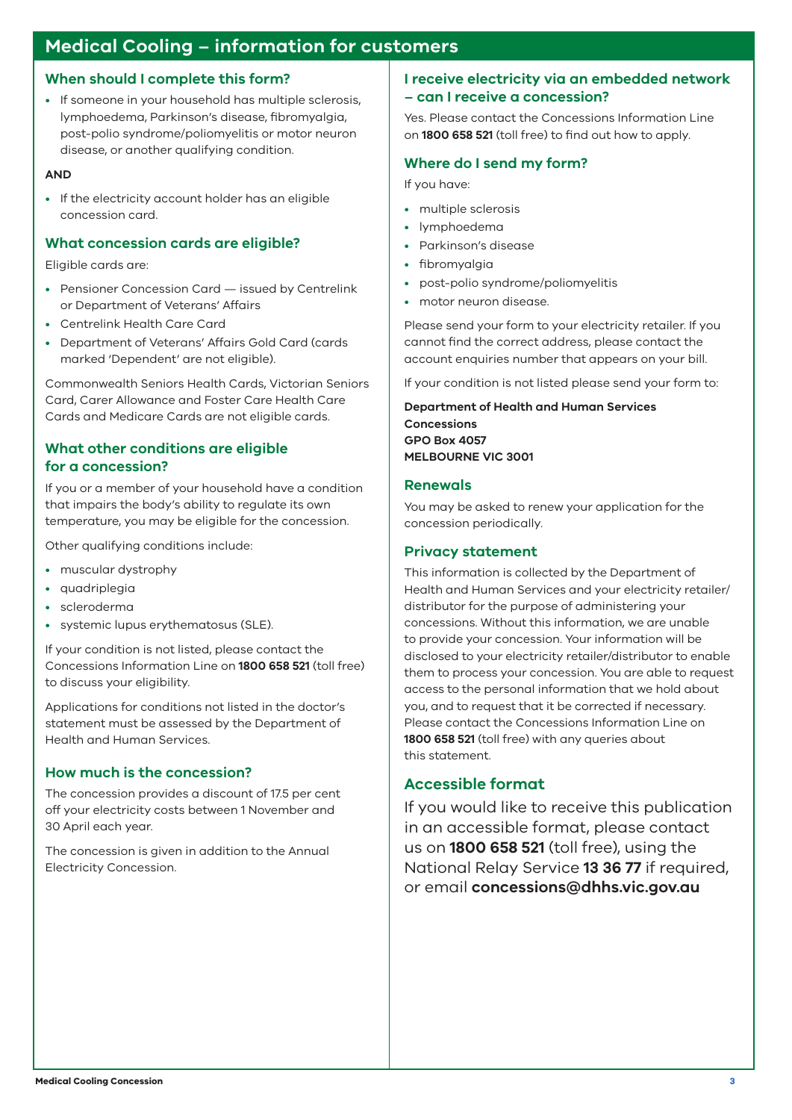### **Medical Cooling – information for customers**

#### **When should I complete this form?**

• If someone in your household has multiple sclerosis, lymphoedema, Parkinson's disease, fibromyalgia, post-polio syndrome/poliomyelitis or motor neuron disease, or another qualifying condition.

#### **AND**

• If the electricity account holder has an eligible concession card.

#### **What concession cards are eligible?**

Eligible cards are:

- Pensioner Concession Card issued by Centrelink or Department of Veterans' Affairs
- Centrelink Health Care Card
- Department of Veterans' Affairs Gold Card (cards marked 'Dependent' are not eligible).

Commonwealth Seniors Health Cards, Victorian Seniors Card, Carer Allowance and Foster Care Health Care Cards and Medicare Cards are not eligible cards.

#### **What other conditions are eligible for a concession?**

If you or a member of your household have a condition that impairs the body's ability to regulate its own temperature, you may be eligible for the concession.

Other qualifying conditions include:

- muscular dystrophy
- quadriplegia
- scleroderma
- systemic lupus erythematosus (SLE).

If your condition is not listed, please contact the Concessions Information Line on **1800 658 521** (toll free) to discuss your eligibility.

Applications for conditions not listed in the doctor's statement must be assessed by the Department of Health and Human Services.

#### **How much is the concession?**

The concession provides a discount of 17.5 per cent off your electricity costs between 1 November and 30 April each year.

The concession is given in addition to the Annual Electricity Concession.

#### **I receive electricity via an embedded network – can I receive a concession?**

Yes. Please contact the Concessions Information Line on **1800 658 521** (toll free) to find out how to apply.

#### **Where do I send my form?**

If you have:

- multiple sclerosis
- lymphoedema
- Parkinson's disease
- fibromyalgia
- post-polio syndrome/poliomyelitis
- motor neuron disease.

Please send your form to your electricity retailer. If you cannot find the correct address, please contact the account enquiries number that appears on your bill.

If your condition is not listed please send your form to:

**Department of Health and Human Services Concessions GPO Box 4057 MELBOURNE VIC 3001**

#### **Renewals**

You may be asked to renew your application for the concession periodically.

#### **Privacy statement**

This information is collected by the Department of Health and Human Services and your electricity retailer/ distributor for the purpose of administering your concessions. Without this information, we are unable to provide your concession. Your information will be disclosed to your electricity retailer/distributor to enable them to process your concession. You are able to request access to the personal information that we hold about you, and to request that it be corrected if necessary. Please contact the Concessions Information Line on **1800 658 521** (toll free) with any queries about this statement.

#### **Accessible format**

If you would like to receive this publication in an accessible format, please contact us on **1800 658 521** (toll free), using the National Relay Service **13 36 77** if required, or email **concessions@dhhs.vic.gov.au**